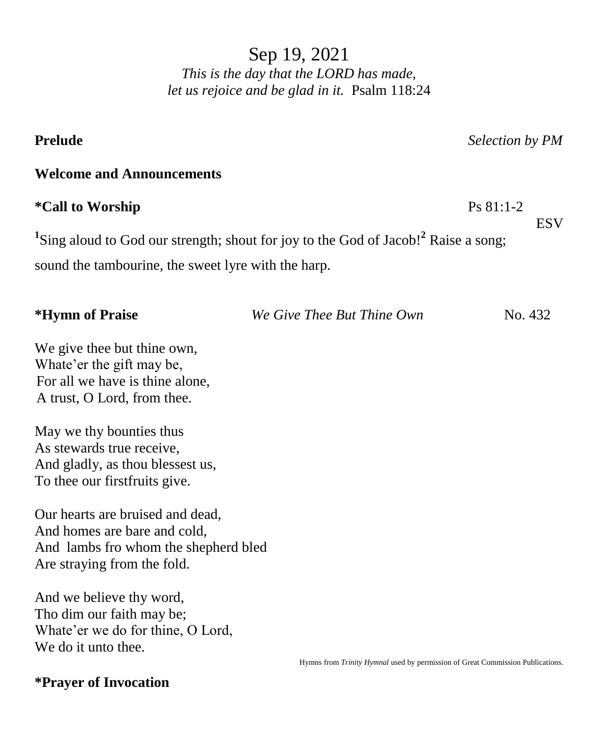Sep 19, 2021 *This is the day that the LORD has made, let us rejoice and be glad in it.* Psalm 118:24

| <b>Prelude</b>                                                                                                                          |                                                                                                            | Selection by PM |
|-----------------------------------------------------------------------------------------------------------------------------------------|------------------------------------------------------------------------------------------------------------|-----------------|
| <b>Welcome and Announcements</b>                                                                                                        |                                                                                                            |                 |
| <i><b>*Call to Worship</b></i>                                                                                                          |                                                                                                            | Ps 81:1-2       |
| sound the tambourine, the sweet lyre with the harp.                                                                                     | <sup>1</sup> Sing aloud to God our strength; shout for joy to the God of Jacob! <sup>2</sup> Raise a song; | <b>ESV</b>      |
| <i><b>*Hymn of Praise</b></i>                                                                                                           | We Give Thee But Thine Own                                                                                 | No. 432         |
| We give thee but thine own,<br>Whate'er the gift may be,<br>For all we have is thine alone,<br>A trust, O Lord, from thee.              |                                                                                                            |                 |
| May we thy bounties thus<br>As stewards true receive,<br>And gladly, as thou blessest us,<br>To thee our first fruits give.             |                                                                                                            |                 |
| Our hearts are bruised and dead,<br>And homes are bare and cold,<br>And lambs fro whom the shepherd bled<br>Are straying from the fold. |                                                                                                            |                 |
| And we believe thy word,<br>Tho dim our faith may be;<br>Whate'er we do for thine, O Lord,<br>We do it unto thee.                       | Hymns from Trinity Hymnal used by permission of Great Commission Publications.                             |                 |
| $\Phi$ in the second second and $\Phi$ in the second second $\Phi$ is a second of $\Phi$                                                |                                                                                                            |                 |

# **\*Prayer of Invocation**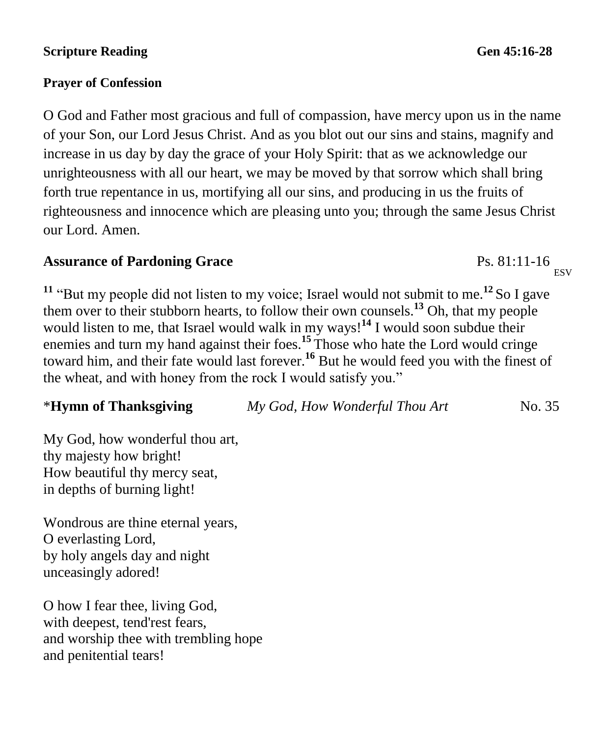### **Scripture Reading Gen 45:16-28**

# **Prayer of Confession**

O God and Father most gracious and full of compassion, have mercy upon us in the name of your Son, our Lord Jesus Christ. And as you blot out our sins and stains, magnify and increase in us day by day the grace of your Holy Spirit: that as we acknowledge our unrighteousness with all our heart, we may be moved by that sorrow which shall bring forth true repentance in us, mortifying all our sins, and producing in us the fruits of righteousness and innocence which are pleasing unto you; through the same Jesus Christ our Lord. Amen.

# **Assurance of Pardoning Grace** Ps. 81:11-16

**<sup>11</sup>** "But my people did not listen to my voice; Israel would not submit to me.**<sup>12</sup>** So I gave them over to their stubborn hearts, to follow their own counsels.**<sup>13</sup>** Oh, that my people would listen to me, that Israel would walk in my ways!<sup>14</sup> I would soon subdue their enemies and turn my hand against their foes.**<sup>15</sup>** Those who hate the Lord would cringe toward him, and their fate would last forever.**<sup>16</sup>** But he would feed you with the finest of the wheat, and with honey from the rock I would satisfy you."

# \***Hymn of Thanksgiving** *My God, How Wonderful Thou Art* No. 35

My God, how wonderful thou art, thy majesty how bright! How beautiful thy mercy seat, in depths of burning light!

Wondrous are thine eternal years, O everlasting Lord, by holy angels day and night unceasingly adored!

O how I fear thee, living God, with deepest, tend'rest fears, and worship thee with trembling hope and penitential tears!

ESV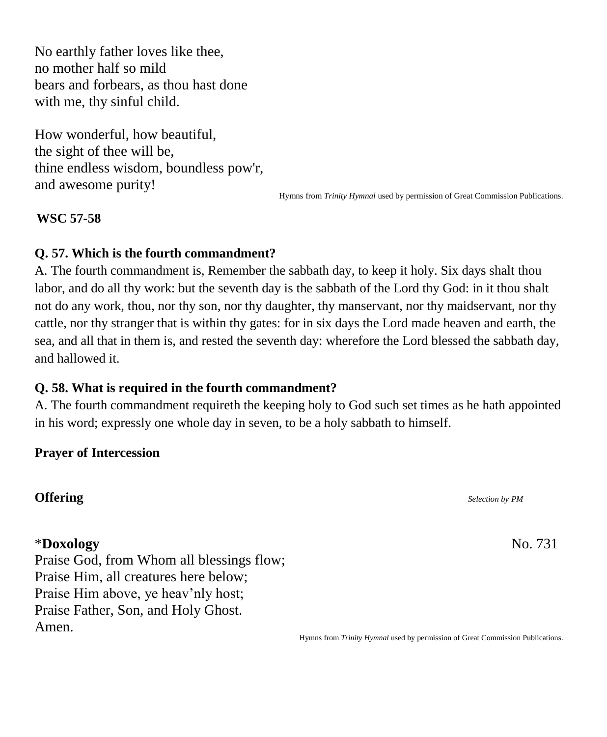No earthly father loves like thee, no mother half so mild bears and forbears, as thou hast done with me, thy sinful child.

How wonderful, how beautiful, the sight of thee will be, thine endless wisdom, boundless pow'r, and awesome purity!

Hymns from *Trinity Hymnal* used by permission of Great Commission Publications.

### **WSC 57-58**

# **Q. 57. Which is the fourth commandment?**

A. The fourth commandment is, Remember the sabbath day, to keep it holy. Six days shalt thou labor, and do all thy work: but the seventh day is the sabbath of the Lord thy God: in it thou shalt not do any work, thou, nor thy son, nor thy daughter, thy manservant, nor thy maidservant, nor thy cattle, nor thy stranger that is within thy gates: for in six days the Lord made heaven and earth, the sea, and all that in them is, and rested the seventh day: wherefore the Lord blessed the sabbath day, and hallowed it.

# **Q. 58. What is required in the fourth commandment?**

A. The fourth commandment requireth the keeping holy to God such set times as he hath appointed in his word; expressly one whole day in seven, to be a holy sabbath to himself.

#### **Prayer of Intercession**

#### **Offering** *Selection by PM*

#### \***Doxology** No. 731

Praise God, from Whom all blessings flow; Praise Him, all creatures here below; Praise Him above, ye heav'nly host; Praise Father, Son, and Holy Ghost. Amen.

Hymns from *Trinity Hymnal* used by permission of Great Commission Publications.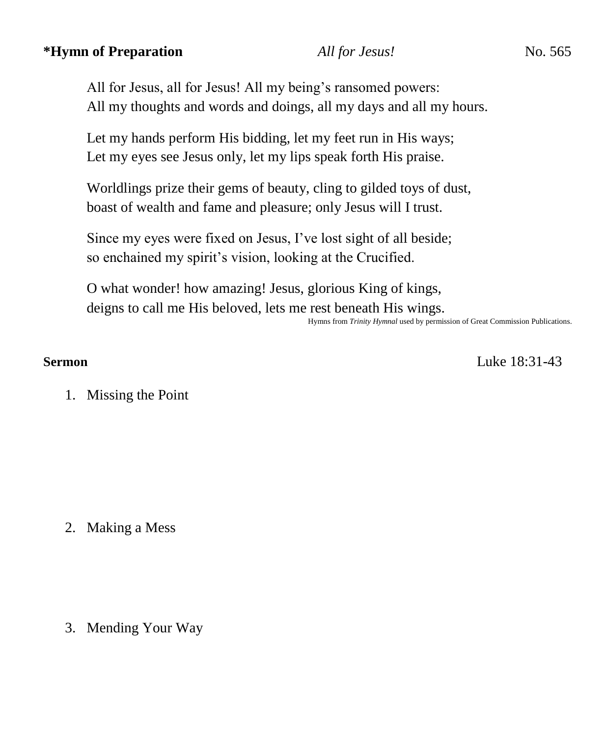# **\*Hymn of Preparation** *All for Jesus!* No. 565

All for Jesus, all for Jesus! All my being's ransomed powers: All my thoughts and words and doings, all my days and all my hours.

Let my hands perform His bidding, let my feet run in His ways; Let my eyes see Jesus only, let my lips speak forth His praise.

Worldlings prize their gems of beauty, cling to gilded toys of dust, boast of wealth and fame and pleasure; only Jesus will I trust.

Since my eyes were fixed on Jesus, I've lost sight of all beside; so enchained my spirit's vision, looking at the Crucified.

O what wonder! how amazing! Jesus, glorious King of kings, deigns to call me His beloved, lets me rest beneath His wings.

Hymns from *Trinity Hymnal* used by permission of Great Commission Publications.

**Sermon** Luke 18:31-43

1. Missing the Point

2. Making a Mess

3. Mending Your Way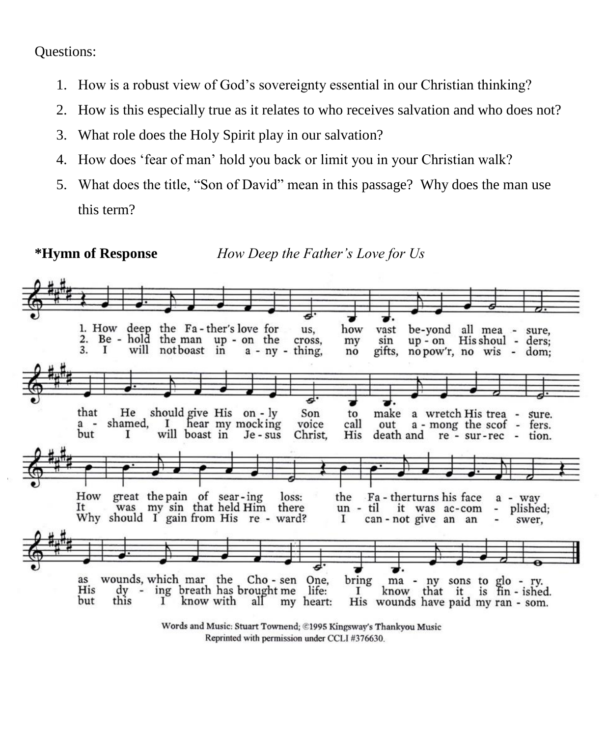Questions:

- 1. How is a robust view of God's sovereignty essential in our Christian thinking?
- 2. How is this especially true as it relates to who receives salvation and who does not?
- 3. What role does the Holy Spirit play in our salvation?
- 4. How does 'fear of man' hold you back or limit you in your Christian walk?
- 5. What does the title, "Son of David" mean in this passage? Why does the man use this term?

**\*Hymn of Response** *How Deep the Father's Love for Us*

|      | 1. How deep the Fa-ther's love for<br>us,<br>2. Be - hold the man up - on the<br>cross,<br>will notboast in a - ny - thing,<br>T | how<br>be-yond all mea - sure,<br>vast<br>sin<br>up - on His shoul - ders;<br>my<br>gifts,<br>no pow'r, no wis - dom:<br>no |
|------|----------------------------------------------------------------------------------------------------------------------------------|-----------------------------------------------------------------------------------------------------------------------------|
|      |                                                                                                                                  |                                                                                                                             |
|      | J.                                                                                                                               |                                                                                                                             |
|      | He should give His on - ly<br>that<br>Son                                                                                        | make<br>a wretch His trea - sure.<br>to                                                                                     |
|      | shamed, I hear my mocking<br>voice<br>$a -$<br>will boast in Je-sus<br>but<br>1<br>Christ,                                       | call<br>a - mong the scof - fers.<br>out<br>death and re - sur-rec - tion.<br>His                                           |
|      |                                                                                                                                  |                                                                                                                             |
| типа |                                                                                                                                  |                                                                                                                             |
|      |                                                                                                                                  |                                                                                                                             |
|      |                                                                                                                                  |                                                                                                                             |
|      | How great the pain of sear-ing loss:<br>It was my sin that held Him there                                                        | the Fa-therturns his face<br>$a -$ way                                                                                      |
|      |                                                                                                                                  | un - til it was ac-com<br>plished;<br>$\sim$                                                                                |
|      | Why should I gain from His re - ward?                                                                                            | can-not give an an<br>$\mathbf I$<br>swer.                                                                                  |
|      |                                                                                                                                  |                                                                                                                             |
|      |                                                                                                                                  |                                                                                                                             |
|      |                                                                                                                                  |                                                                                                                             |
|      |                                                                                                                                  |                                                                                                                             |
|      | as wounds, which mar the Cho-sen One,<br>His<br>dy - ing breath has brought me life: I                                           | bring ma - ny sons to glo - ry.<br>know that it is fin-ished.                                                               |
|      | know with all my heart:<br>but<br>this<br>г                                                                                      | His wounds have paid my ran - som.                                                                                          |
|      |                                                                                                                                  |                                                                                                                             |

Words and Music: Stuart Townend; ©1995 Kingsway's Thankyou Music Reprinted with permission under CCLI #376630.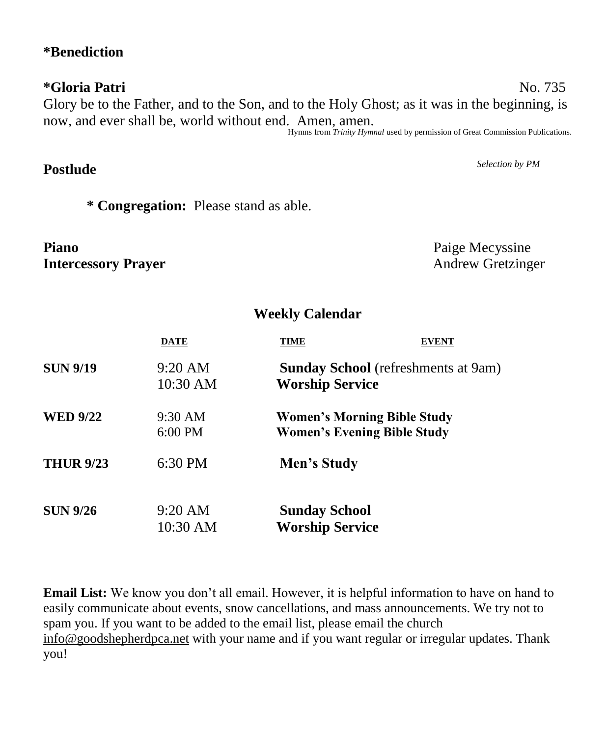# **\*Benediction**

# **\*Gloria Patri** No. 735

Glory be to the Father, and to the Son, and to the Holy Ghost; as it was in the beginning, is now, and ever shall be, world without end. Amen, amen. Hymns from *Trinity Hymnal* used by permission of Great Commission Publications.

# **Postlude** *Selection by PM*

**\* Congregation:** Please stand as able.

# Piano Paige Mecyssine **Intercessory Prayer** Andrew Gretzinger

# **Weekly Calendar**

|                  | <b>DATE</b>       | <b>TIME</b>                                | <b>EVENT</b>                       |  |
|------------------|-------------------|--------------------------------------------|------------------------------------|--|
| <b>SUN 9/19</b>  | $9:20 \text{ AM}$ | <b>Sunday School</b> (refreshments at 9am) |                                    |  |
|                  | 10:30 AM          | <b>Worship Service</b>                     |                                    |  |
| <b>WED 9/22</b>  | $9:30$ AM         |                                            | <b>Women's Morning Bible Study</b> |  |
|                  | $6:00$ PM         |                                            | <b>Women's Evening Bible Study</b> |  |
| <b>THUR 9/23</b> | 6:30 PM           | Men's Study                                |                                    |  |
| <b>SUN 9/26</b>  | $9:20 \text{ AM}$ | <b>Sunday School</b>                       |                                    |  |
|                  | 10:30 AM          | <b>Worship Service</b>                     |                                    |  |

**Email List:** We know you don't all email. However, it is helpful information to have on hand to easily communicate about events, snow cancellations, and mass announcements. We try not to spam you. If you want to be added to the email list, please email the church [info@goodshepherdpca.net](mailto:info@goodshepherdpca.net) with your name and if you want regular or irregular updates. Thank you!